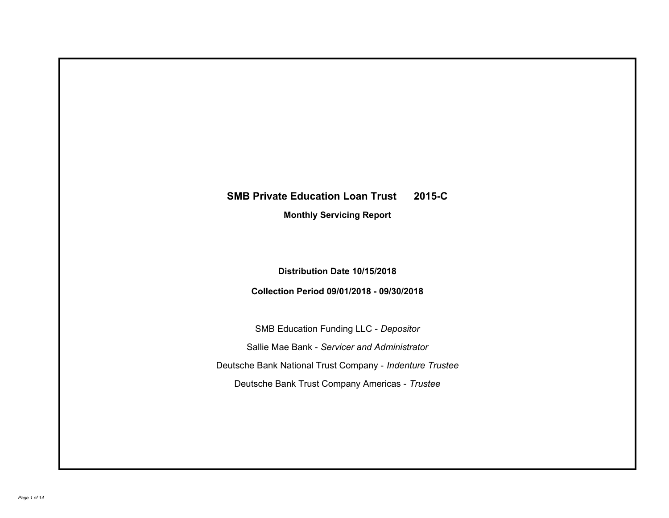# **SMB Private Education Loan Trust 2015-C**

**Monthly Servicing Report**

**Distribution Date 10/15/2018**

**Collection Period 09/01/2018 - 09/30/2018**

SMB Education Funding LLC - *Depositor* Sallie Mae Bank - *Servicer and Administrator* Deutsche Bank National Trust Company - *Indenture Trustee* Deutsche Bank Trust Company Americas - *Trustee*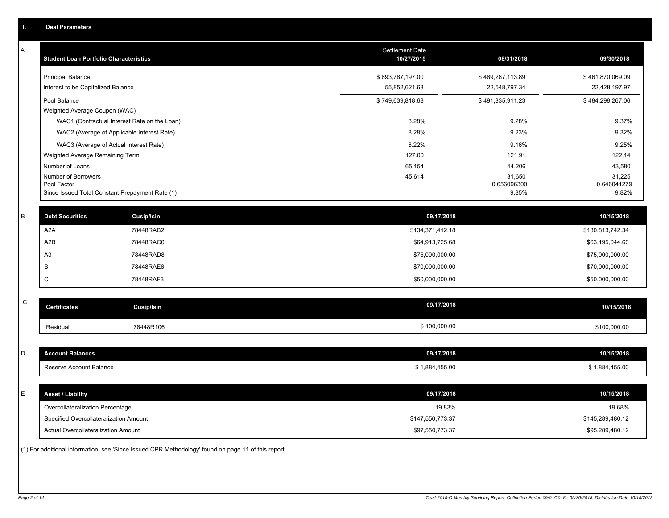| ι.          | <b>Deal Parameters</b>                        |                                                 |                               |                                |                                |
|-------------|-----------------------------------------------|-------------------------------------------------|-------------------------------|--------------------------------|--------------------------------|
| Α           | <b>Student Loan Portfolio Characteristics</b> |                                                 | Settlement Date<br>10/27/2015 | 08/31/2018                     | 09/30/2018                     |
|             | <b>Principal Balance</b>                      |                                                 | \$693,787,197.00              | \$469,287,113.89               | \$461,870,069.09               |
|             | Interest to be Capitalized Balance            |                                                 | 55,852,621.68                 | 22,548,797.34                  | 22,428,197.97                  |
|             | Pool Balance                                  |                                                 | \$749,639,818.68              | \$491,835,911.23               | \$484,298,267.06               |
|             | Weighted Average Coupon (WAC)                 |                                                 |                               |                                |                                |
|             |                                               | WAC1 (Contractual Interest Rate on the Loan)    | 8.28%                         | 9.28%                          | 9.37%                          |
|             |                                               | WAC2 (Average of Applicable Interest Rate)      | 8.28%                         | 9.23%                          | 9.32%                          |
|             |                                               | WAC3 (Average of Actual Interest Rate)          | 8.22%                         | 9.16%                          | 9.25%                          |
|             | Weighted Average Remaining Term               |                                                 | 127.00                        | 121.91                         | 122.14                         |
|             | Number of Loans                               |                                                 | 65,154                        | 44,206                         | 43,580                         |
|             | Number of Borrowers<br>Pool Factor            |                                                 | 45,614                        | 31,650<br>0.656096300<br>9.85% | 31,225<br>0.646041279<br>9.82% |
|             |                                               | Since Issued Total Constant Prepayment Rate (1) |                               |                                |                                |
| B           | <b>Debt Securities</b>                        | Cusip/Isin                                      | 09/17/2018                    |                                | 10/15/2018                     |
|             | A <sub>2</sub> A                              | 78448RAB2                                       | \$134,371,412.18              |                                | \$130,813,742.34               |
|             | A <sub>2</sub> B                              | 78448RAC0                                       | \$64,913,725.68               |                                | \$63,195,044.60                |
|             | A <sub>3</sub>                                | 78448RAD8                                       | \$75,000,000.00               |                                | \$75,000,000.00                |
|             | B                                             | 78448RAE6                                       | \$70,000,000.00               |                                | \$70,000,000.00                |
|             | C                                             | 78448RAF3                                       | \$50,000,000.00               |                                | \$50,000,000.00                |
| $\mathsf C$ | <b>Certificates</b>                           | <b>Cusip/Isin</b>                               | 09/17/2018                    |                                | 10/15/2018                     |
|             |                                               |                                                 |                               |                                |                                |
|             | Residual                                      | 78448R106                                       | \$100,000.00                  |                                | \$100,000.00                   |
| D           | <b>Account Balances</b>                       |                                                 | 09/17/2018                    |                                | 10/15/2018                     |
|             | Reserve Account Balance                       |                                                 | \$1,884,455.00                |                                | \$1,884,455.00                 |
|             |                                               |                                                 |                               |                                |                                |
| Е           | <b>Asset / Liability</b>                      |                                                 | 09/17/2018                    |                                | 10/15/2018                     |
|             | Overcollateralization Percentage              |                                                 | 19.83%                        |                                | 19.68%                         |
|             | Specified Overcollateralization Amount        |                                                 | \$147,550,773.37              |                                | \$145,289,480.12               |
|             | Actual Overcollateralization Amount           |                                                 | \$97,550,773.37               |                                | \$95,289,480.12                |

(1) For additional information, see 'Since Issued CPR Methodology' found on page 11 of this report.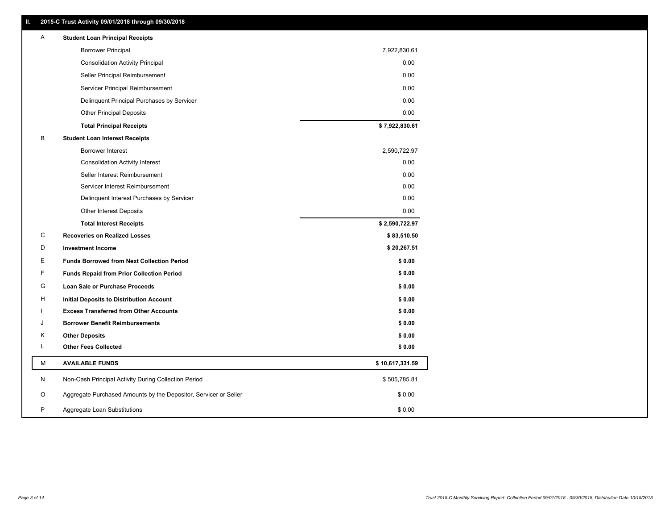| A | <b>Student Loan Principal Receipts</b>                           |                 |
|---|------------------------------------------------------------------|-----------------|
|   | <b>Borrower Principal</b>                                        | 7,922,830.61    |
|   | <b>Consolidation Activity Principal</b>                          | 0.00            |
|   | Seller Principal Reimbursement                                   | 0.00            |
|   | Servicer Principal Reimbursement                                 | 0.00            |
|   | Delinquent Principal Purchases by Servicer                       | 0.00            |
|   | <b>Other Principal Deposits</b>                                  | 0.00            |
|   | <b>Total Principal Receipts</b>                                  | \$7,922,830.61  |
| В | <b>Student Loan Interest Receipts</b>                            |                 |
|   | <b>Borrower Interest</b>                                         | 2,590,722.97    |
|   | <b>Consolidation Activity Interest</b>                           | 0.00            |
|   | Seller Interest Reimbursement                                    | 0.00            |
|   | Servicer Interest Reimbursement                                  | 0.00            |
|   | Delinquent Interest Purchases by Servicer                        | 0.00            |
|   | <b>Other Interest Deposits</b>                                   | 0.00            |
|   | <b>Total Interest Receipts</b>                                   | \$2,590,722.97  |
| C | <b>Recoveries on Realized Losses</b>                             | \$83,510.50     |
| D |                                                                  |                 |
|   | <b>Investment Income</b>                                         | \$20,267.51     |
| Е | <b>Funds Borrowed from Next Collection Period</b>                | \$0.00          |
| F | <b>Funds Repaid from Prior Collection Period</b>                 | \$0.00          |
| G | Loan Sale or Purchase Proceeds                                   | \$0.00          |
| н | <b>Initial Deposits to Distribution Account</b>                  | \$0.00          |
|   | <b>Excess Transferred from Other Accounts</b>                    | \$0.00          |
| J | <b>Borrower Benefit Reimbursements</b>                           | \$0.00          |
| Κ | <b>Other Deposits</b>                                            | \$0.00          |
| L | <b>Other Fees Collected</b>                                      | \$0.00          |
| м | <b>AVAILABLE FUNDS</b>                                           | \$10,617,331.59 |
| N | Non-Cash Principal Activity During Collection Period             | \$505,785.81    |
| O | Aggregate Purchased Amounts by the Depositor, Servicer or Seller | \$0.00          |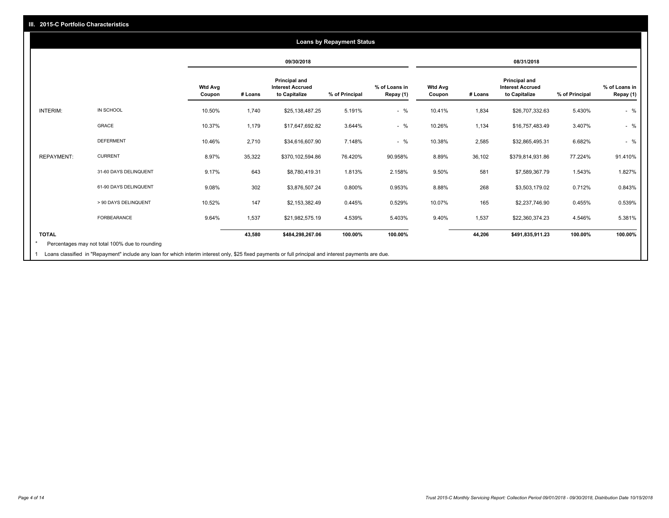#### **09/30/2018 08/31/2018 Wtd Avg Coupon # Loans Principal and Interest Accrued to Capitalize % of Principal % of Loans in Repay (1) Wtd Avg Coupon # Loans Principal and Interest Accrued to Capitalize % of Principal % of Loans in Repay (1)**  INTERIM: IN SCHOOL 10.50% 1,740 \$25,138,487.25 5.191% - % 10.41% 1,834 \$26,707,332.63 5.430% - % GRACE 10.37% 1,179 \$17,647,692.82 3.644% - % 10.26% 1,134 \$16,757,483.49 3.407% - % DEFERMENT 10.46% 2,710 \$34,616,607.90 7.148% - % 10.38% 2,585 \$32,865,495.31 6.682% - % REPAYMENT: CURRENT 8.97% 35,322 \$370,102,594.86 76.420% 90.958% 8.89% 36,102 \$379,814,931.86 77.224% 91.410% 31-60 DAYS DELINQUENT 9.17% 643 \$8,780,419.31 1.813% 2.158% 9.50% 581 \$7,589,367.79 1.543% 1.827% 61-90 DAYS DELINQUENT 9.08% 302 \$3,876,507.24 0.800% 0.953% 8.88% 268 \$3,503,179.02 0.712% 0.843% > 90 DAYS DELINQUENT 10.52% 147 \$2,153,382.49 0.445% 0.529% 10.07% 165 \$2,237,746.90 0.455% 0.539% FORBEARANCE 9.64% 1,537 \$21,982,575.19 4.539% 5.403% 9.40% 1,537 \$22,360,374.23 4.546% 5.381% **TOTAL 43,580 \$484,298,267.06 100.00% 100.00% 44,206 \$491,835,911.23 100.00% 100.00% Loans by Repayment Status** Percentages may not total 100% due to rounding \*

Loans classified in "Repayment" include any loan for which interim interest only, \$25 fixed payments or full principal and interest payments are due. 1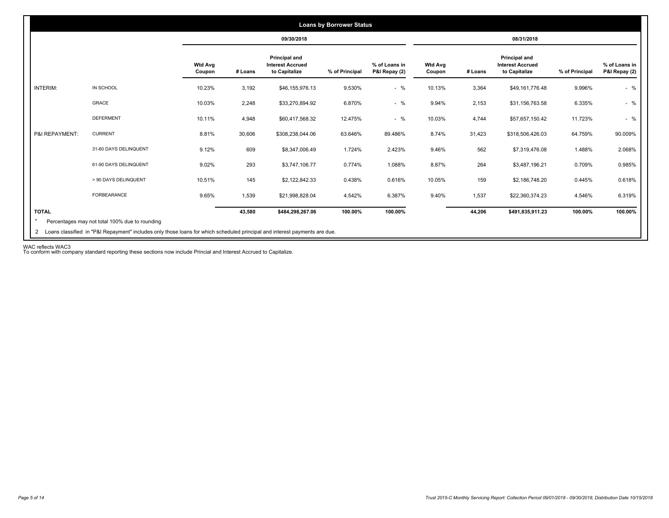|                 |                       |                          |         | 09/30/2018                                                |                |                                |                          |         | 08/31/2018                                                |                |                                |
|-----------------|-----------------------|--------------------------|---------|-----------------------------------------------------------|----------------|--------------------------------|--------------------------|---------|-----------------------------------------------------------|----------------|--------------------------------|
|                 |                       | <b>Wtd Avg</b><br>Coupon | # Loans | Principal and<br><b>Interest Accrued</b><br>to Capitalize | % of Principal | % of Loans in<br>P&I Repay (2) | <b>Wtd Avg</b><br>Coupon | # Loans | Principal and<br><b>Interest Accrued</b><br>to Capitalize | % of Principal | % of Loans in<br>P&I Repay (2) |
| <b>INTERIM:</b> | IN SCHOOL             | 10.23%                   | 3,192   | \$46,155,976.13                                           | 9.530%         | $-$ %                          | 10.13%                   | 3,364   | \$49,161,776.48                                           | 9.996%         | $-$ %                          |
|                 | GRACE                 | 10.03%                   | 2,248   | \$33,270,894.92                                           | 6.870%         | $-$ %                          | 9.94%                    | 2,153   | \$31,156,763.58                                           | 6.335%         | $-$ %                          |
|                 | <b>DEFERMENT</b>      | 10.11%                   | 4,948   | \$60,417,568.32                                           | 12.475%        | $-$ %                          | 10.03%                   | 4,744   | \$57,657,150.42                                           | 11.723%        | $-$ %                          |
| P&I REPAYMENT:  | <b>CURRENT</b>        | 8.81%                    | 30,606  | \$308,238,044.06                                          | 63.646%        | 89.486%                        | 8.74%                    | 31,423  | \$318,506,426.03                                          | 64.759%        | 90.009%                        |
|                 | 31-60 DAYS DELINQUENT | 9.12%                    | 609     | \$8,347,006.49                                            | 1.724%         | 2.423%                         | 9.46%                    | 562     | \$7,319,476.08                                            | 1.488%         | 2.068%                         |
|                 | 61-90 DAYS DELINQUENT | 9.02%                    | 293     | \$3,747,106.77                                            | 0.774%         | 1.088%                         | 8.87%                    | 264     | \$3,487,196.21                                            | 0.709%         | 0.985%                         |
|                 | > 90 DAYS DELINQUENT  | 10.51%                   | 145     | \$2,122,842.33                                            | 0.438%         | 0.616%                         | 10.05%                   | 159     | \$2,186,748.20                                            | 0.445%         | 0.618%                         |
|                 | FORBEARANCE           | 9.65%                    | 1,539   | \$21,998,828.04                                           | 4.542%         | 6.387%                         | 9.40%                    | 1,537   | \$22,360,374.23                                           | 4.546%         | 6.319%                         |
| <b>TOTAL</b>    |                       |                          | 43,580  | \$484,298,267.06                                          | 100.00%        | 100.00%                        |                          | 44,206  | \$491,835,911.23                                          | 100.00%        | 100.00%                        |

WAC reflects WAC3 To conform with company standard reporting these sections now include Princial and Interest Accrued to Capitalize.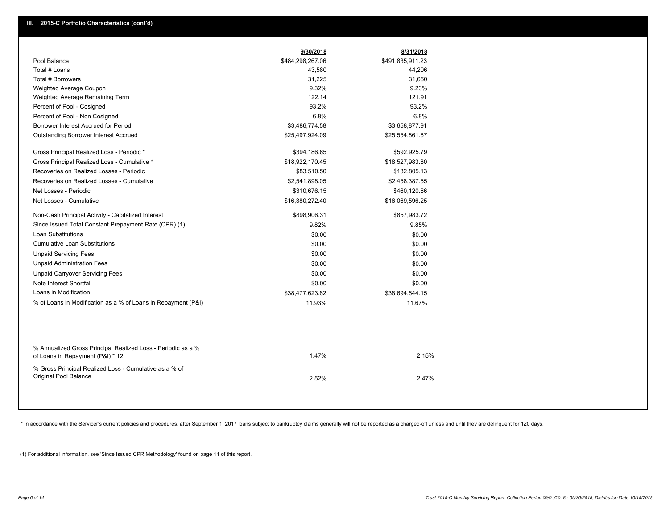|                                                                                                  | 9/30/2018        | 8/31/2018        |
|--------------------------------------------------------------------------------------------------|------------------|------------------|
| Pool Balance                                                                                     | \$484,298,267.06 | \$491,835,911.23 |
| Total # Loans                                                                                    | 43,580           | 44,206           |
| Total # Borrowers                                                                                | 31,225           | 31,650           |
| Weighted Average Coupon                                                                          | 9.32%            | 9.23%            |
| Weighted Average Remaining Term                                                                  | 122.14           | 121.91           |
| Percent of Pool - Cosigned                                                                       | 93.2%            | 93.2%            |
| Percent of Pool - Non Cosigned                                                                   | 6.8%             | 6.8%             |
| Borrower Interest Accrued for Period                                                             | \$3,486,774.58   | \$3,658,877.91   |
| Outstanding Borrower Interest Accrued                                                            | \$25,497,924.09  | \$25,554,861.67  |
| Gross Principal Realized Loss - Periodic *                                                       | \$394,186.65     | \$592,925.79     |
| Gross Principal Realized Loss - Cumulative *                                                     | \$18,922,170.45  | \$18,527,983.80  |
| Recoveries on Realized Losses - Periodic                                                         | \$83,510.50      | \$132,805.13     |
| Recoveries on Realized Losses - Cumulative                                                       | \$2,541,898.05   | \$2,458,387.55   |
| Net Losses - Periodic                                                                            | \$310,676.15     | \$460,120.66     |
| Net Losses - Cumulative                                                                          | \$16,380,272.40  | \$16,069,596.25  |
| Non-Cash Principal Activity - Capitalized Interest                                               | \$898,906.31     | \$857,983.72     |
| Since Issued Total Constant Prepayment Rate (CPR) (1)                                            | 9.82%            | 9.85%            |
| <b>Loan Substitutions</b>                                                                        | \$0.00           | \$0.00           |
| <b>Cumulative Loan Substitutions</b>                                                             | \$0.00           | \$0.00           |
| <b>Unpaid Servicing Fees</b>                                                                     | \$0.00           | \$0.00           |
| <b>Unpaid Administration Fees</b>                                                                | \$0.00           | \$0.00           |
| <b>Unpaid Carryover Servicing Fees</b>                                                           | \$0.00           | \$0.00           |
| Note Interest Shortfall                                                                          | \$0.00           | \$0.00           |
| Loans in Modification                                                                            | \$38,477,623.82  | \$38,694,644.15  |
| % of Loans in Modification as a % of Loans in Repayment (P&I)                                    | 11.93%           | 11.67%           |
|                                                                                                  |                  |                  |
| % Annualized Gross Principal Realized Loss - Periodic as a %<br>of Loans in Repayment (P&I) * 12 | 1.47%            | 2.15%            |
| % Gross Principal Realized Loss - Cumulative as a % of<br>Original Pool Balance                  | 2.52%            | 2.47%            |

\* In accordance with the Servicer's current policies and procedures, after September 1, 2017 loans subject to bankruptcy claims generally will not be reported as a charged-off unless and until they are delinquent for 120 d

(1) For additional information, see 'Since Issued CPR Methodology' found on page 11 of this report.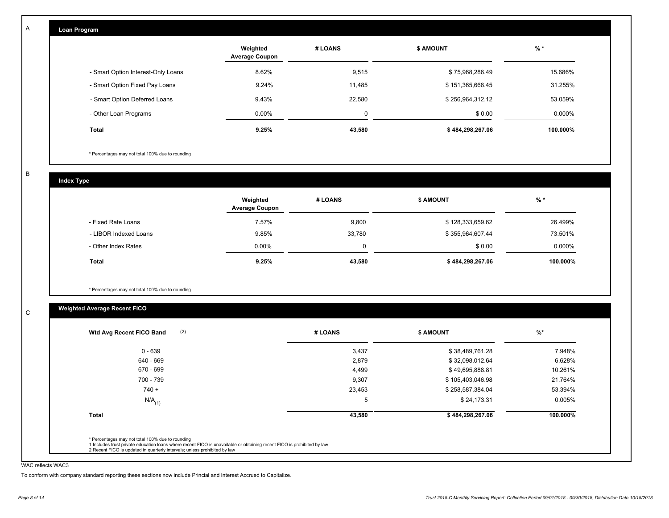| Loan Program                       |                                   |         |                  |           |
|------------------------------------|-----------------------------------|---------|------------------|-----------|
|                                    | Weighted<br><b>Average Coupon</b> | # LOANS | <b>\$ AMOUNT</b> | $%$ *     |
| - Smart Option Interest-Only Loans | 8.62%                             | 9,515   | \$75,968,286.49  | 15.686%   |
| - Smart Option Fixed Pay Loans     | 9.24%                             | 11,485  | \$151,365,668.45 | 31.255%   |
| - Smart Option Deferred Loans      | 9.43%                             | 22,580  | \$256,964,312.12 | 53.059%   |
| - Other Loan Programs              | $0.00\%$                          | 0       | \$0.00           | $0.000\%$ |
| Total                              | 9.25%                             | 43,580  | \$484,298,267.06 | 100.000%  |

\* Percentages may not total 100% due to rounding

B

C

A

**Index Type**

|                       | Weighted<br><b>Average Coupon</b> | # LOANS | <b>\$ AMOUNT</b> | % *      |
|-----------------------|-----------------------------------|---------|------------------|----------|
| - Fixed Rate Loans    | 7.57%                             | 9,800   | \$128,333,659.62 | 26.499%  |
| - LIBOR Indexed Loans | 9.85%                             | 33,780  | \$355,964,607.44 | 73.501%  |
| - Other Index Rates   | $0.00\%$                          | 0       | \$0.00           | 0.000%   |
| <b>Total</b>          | 9.25%                             | 43,580  | \$484,298,267.06 | 100.000% |

\* Percentages may not total 100% due to rounding

## **Weighted Average Recent FICO**

| $0 - 639$            | 3,437  | \$38,489,761.28  | 7.948%   |
|----------------------|--------|------------------|----------|
| 640 - 669            | 2,879  | \$32,098,012.64  | 6.628%   |
| 670 - 699            | 4,499  | \$49,695,888.81  | 10.261%  |
| 700 - 739            | 9,307  | \$105,403,046.98 | 21.764%  |
| $740 +$              | 23,453 | \$258,587,384.04 | 53.394%  |
| $N/A$ <sub>(1)</sub> | 5      | \$24,173.31      | 0.005%   |
| <b>Total</b>         | 43,580 | \$484,298,267.06 | 100.000% |

#### WAC reflects WAC3

To conform with company standard reporting these sections now include Princial and Interest Accrued to Capitalize.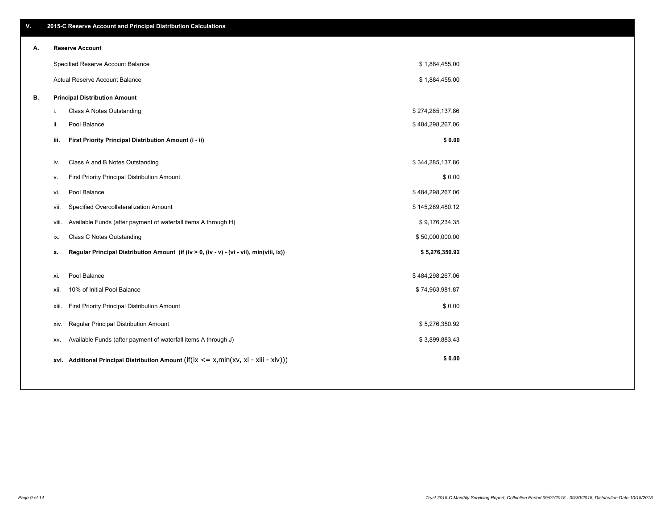| Α. |       | <b>Reserve Account</b>                                                                     |                  |  |
|----|-------|--------------------------------------------------------------------------------------------|------------------|--|
|    |       | Specified Reserve Account Balance                                                          | \$1,884,455.00   |  |
|    |       | Actual Reserve Account Balance                                                             | \$1,884,455.00   |  |
| В. |       | <b>Principal Distribution Amount</b>                                                       |                  |  |
|    | i.    | Class A Notes Outstanding                                                                  | \$274,285,137.86 |  |
|    | ii.   | Pool Balance                                                                               | \$484,298,267.06 |  |
|    | iii.  | First Priority Principal Distribution Amount (i - ii)                                      | \$0.00           |  |
|    | iv.   | Class A and B Notes Outstanding                                                            | \$344,285,137.86 |  |
|    | ۷.    | First Priority Principal Distribution Amount                                               | \$0.00           |  |
|    | vi.   | Pool Balance                                                                               | \$484,298,267.06 |  |
|    | vii.  | Specified Overcollateralization Amount                                                     | \$145,289,480.12 |  |
|    | viii. | Available Funds (after payment of waterfall items A through H)                             | \$9,176,234.35   |  |
|    | ix.   | Class C Notes Outstanding                                                                  | \$50,000,000.00  |  |
|    | х.    | Regular Principal Distribution Amount (if (iv > 0, (iv - v) - (vi - vii), min(viii, ix))   | \$5,276,350.92   |  |
|    | xi.   | Pool Balance                                                                               | \$484,298,267.06 |  |
|    | xii.  | 10% of Initial Pool Balance                                                                | \$74,963,981.87  |  |
|    | xiii. | First Priority Principal Distribution Amount                                               | \$0.00           |  |
|    | XİV.  | Regular Principal Distribution Amount                                                      | \$5,276,350.92   |  |
|    | XV.   | Available Funds (after payment of waterfall items A through J)                             | \$3,899,883.43   |  |
|    |       | xvi. Additional Principal Distribution Amount (if(ix $\lt$ = x, min(xv, xi - xiii - xiv))) | \$0.00           |  |

## **A. Reserve Account**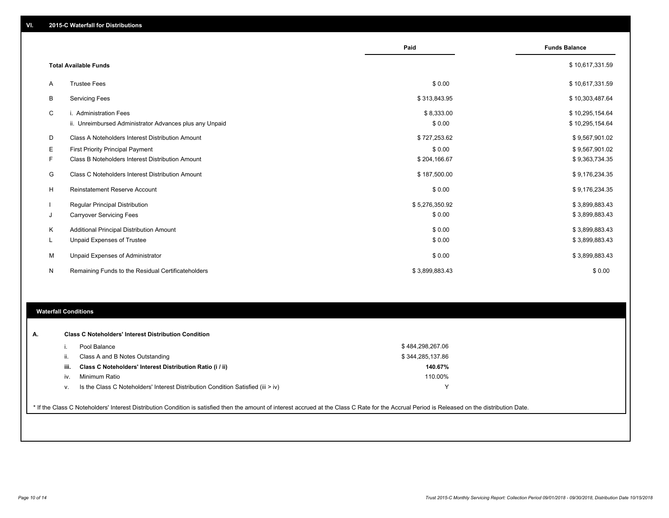|    |                                                                                   | Paid                 | <b>Funds Balance</b>               |
|----|-----------------------------------------------------------------------------------|----------------------|------------------------------------|
|    | <b>Total Available Funds</b>                                                      |                      | \$10,617,331.59                    |
| A  | <b>Trustee Fees</b>                                                               | \$0.00               | \$10,617,331.59                    |
| B  | <b>Servicing Fees</b>                                                             | \$313,843.95         | \$10,303,487.64                    |
| C  | i. Administration Fees<br>ii. Unreimbursed Administrator Advances plus any Unpaid | \$8,333.00<br>\$0.00 | \$10,295,154.64<br>\$10,295,154.64 |
| D  | Class A Noteholders Interest Distribution Amount                                  | \$727,253.62         | \$9,567,901.02                     |
| Е  | <b>First Priority Principal Payment</b>                                           | \$0.00               | \$9,567,901.02                     |
| F. | Class B Noteholders Interest Distribution Amount                                  | \$204,166.67         | \$9,363,734.35                     |
| G  | Class C Noteholders Interest Distribution Amount                                  | \$187,500.00         | \$9,176,234.35                     |
| H  | <b>Reinstatement Reserve Account</b>                                              | \$0.00               | \$9,176,234.35                     |
|    | Regular Principal Distribution                                                    | \$5,276,350.92       | \$3,899,883.43                     |
| J  | <b>Carryover Servicing Fees</b>                                                   | \$0.00               | \$3,899,883.43                     |
| Κ  | Additional Principal Distribution Amount                                          | \$0.00               | \$3,899,883.43                     |
| L. | Unpaid Expenses of Trustee                                                        | \$0.00               | \$3,899,883.43                     |
| M  | Unpaid Expenses of Administrator                                                  | \$0.00               | \$3,899,883.43                     |
| N  | Remaining Funds to the Residual Certificateholders                                | \$3,899,883.43       | \$0.00                             |

#### **Waterfall Conditions**

| А. |      | <b>Class C Noteholders' Interest Distribution Condition</b>                      |                  |  |
|----|------|----------------------------------------------------------------------------------|------------------|--|
|    |      | Pool Balance                                                                     | \$484,298,267.06 |  |
|    |      | Class A and B Notes Outstanding                                                  | \$344,285,137.86 |  |
|    | iii. | Class C Noteholders' Interest Distribution Ratio (i / ii)                        | 140.67%          |  |
|    | IV.  | Minimum Ratio                                                                    | 110.00%          |  |
|    | ٧.   | Is the Class C Noteholders' Interest Distribution Condition Satisfied (iii > iv) |                  |  |

\* If the Class C Noteholders' Interest Distribution Condition is satisfied then the amount of interest accrued at the Class C Rate for the Accrual Period is Released on the distribution Date.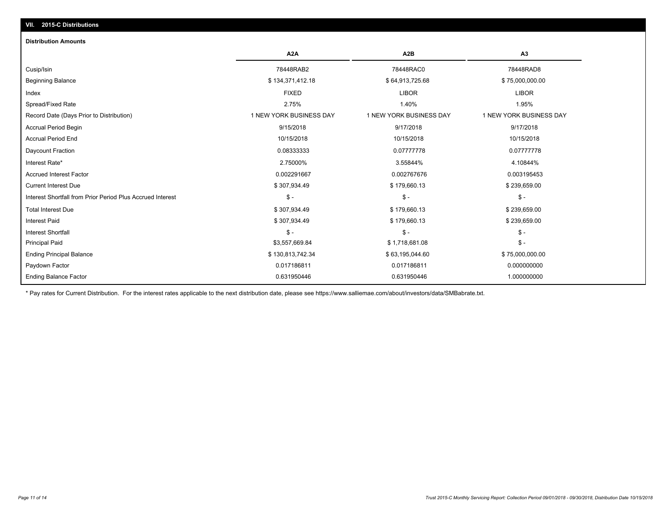## **VII. 2015-C Distributions**

#### **Distribution Amounts**

|                                                            | A <sub>2</sub> A        | A <sub>2</sub> B        | A <sub>3</sub>          |
|------------------------------------------------------------|-------------------------|-------------------------|-------------------------|
| Cusip/Isin                                                 | 78448RAB2               | 78448RAC0               | 78448RAD8               |
| <b>Beginning Balance</b>                                   | \$134,371,412.18        | \$64,913,725.68         | \$75,000,000.00         |
| Index                                                      | <b>FIXED</b>            | <b>LIBOR</b>            | <b>LIBOR</b>            |
| Spread/Fixed Rate                                          | 2.75%                   | 1.40%                   | 1.95%                   |
| Record Date (Days Prior to Distribution)                   | 1 NEW YORK BUSINESS DAY | 1 NEW YORK BUSINESS DAY | 1 NEW YORK BUSINESS DAY |
| <b>Accrual Period Begin</b>                                | 9/15/2018               | 9/17/2018               | 9/17/2018               |
| <b>Accrual Period End</b>                                  | 10/15/2018              | 10/15/2018              | 10/15/2018              |
| Daycount Fraction                                          | 0.08333333              | 0.07777778              | 0.07777778              |
| Interest Rate*                                             | 2.75000%                | 3.55844%                | 4.10844%                |
| <b>Accrued Interest Factor</b>                             | 0.002291667             | 0.002767676             | 0.003195453             |
| <b>Current Interest Due</b>                                | \$307,934.49            | \$179,660.13            | \$239,659.00            |
| Interest Shortfall from Prior Period Plus Accrued Interest | $S -$                   | $S -$                   | $$ -$                   |
| <b>Total Interest Due</b>                                  | \$307,934.49            | \$179,660.13            | \$239,659.00            |
| <b>Interest Paid</b>                                       | \$307,934.49            | \$179,660.13            | \$239,659.00            |
| <b>Interest Shortfall</b>                                  | $S -$                   | $S -$                   | \$ -                    |
| <b>Principal Paid</b>                                      | \$3,557,669.84          | \$1,718,681.08          | $$ -$                   |
| <b>Ending Principal Balance</b>                            | \$130,813,742.34        | \$63,195,044.60         | \$75,000,000.00         |
| Paydown Factor                                             | 0.017186811             | 0.017186811             | 0.000000000             |
| <b>Ending Balance Factor</b>                               | 0.631950446             | 0.631950446             | 1.000000000             |

\* Pay rates for Current Distribution. For the interest rates applicable to the next distribution date, please see https://www.salliemae.com/about/investors/data/SMBabrate.txt.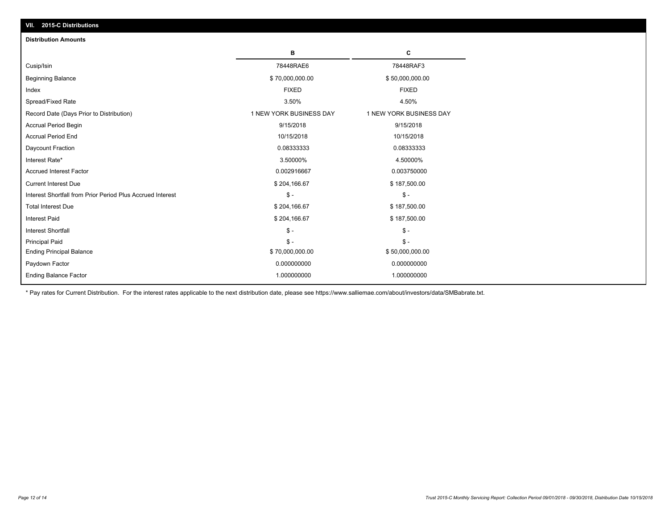| <b>Distribution Amounts</b>                                |                         |                         |
|------------------------------------------------------------|-------------------------|-------------------------|
|                                                            | в                       | c                       |
| Cusip/Isin                                                 | 78448RAE6               | 78448RAF3               |
| <b>Beginning Balance</b>                                   | \$70,000,000.00         | \$50,000,000.00         |
| Index                                                      | <b>FIXED</b>            | <b>FIXED</b>            |
| Spread/Fixed Rate                                          | 3.50%                   | 4.50%                   |
| Record Date (Days Prior to Distribution)                   | 1 NEW YORK BUSINESS DAY | 1 NEW YORK BUSINESS DAY |
| Accrual Period Begin                                       | 9/15/2018               | 9/15/2018               |
| <b>Accrual Period End</b>                                  | 10/15/2018              | 10/15/2018              |
| Daycount Fraction                                          | 0.08333333              | 0.08333333              |
| Interest Rate*                                             | 3.50000%                | 4.50000%                |
| <b>Accrued Interest Factor</b>                             | 0.002916667             | 0.003750000             |
| <b>Current Interest Due</b>                                | \$204,166.67            | \$187,500.00            |
| Interest Shortfall from Prior Period Plus Accrued Interest | $\mathcal{S}$ -         | $\mathcal{S}$ -         |
| <b>Total Interest Due</b>                                  | \$204,166.67            | \$187,500.00            |
| <b>Interest Paid</b>                                       | \$204,166.67            | \$187,500.00            |
| <b>Interest Shortfall</b>                                  | $\mathsf{\$}$ -         | $\mathbb{S}$ -          |
| <b>Principal Paid</b>                                      | $\mathsf{\$}$ -         | $S -$                   |
| <b>Ending Principal Balance</b>                            | \$70,000,000.00         | \$50,000,000.00         |
| Paydown Factor                                             | 0.000000000             | 0.000000000             |
| <b>Ending Balance Factor</b>                               | 1.000000000             | 1.000000000             |

\* Pay rates for Current Distribution. For the interest rates applicable to the next distribution date, please see https://www.salliemae.com/about/investors/data/SMBabrate.txt.

**VII. 2015-C Distributions**